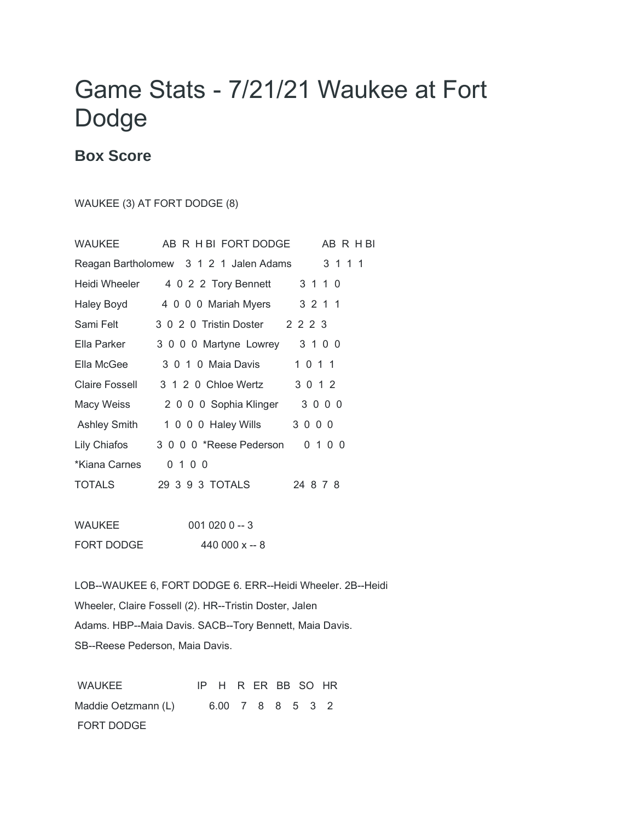## Game Stats - 7/21/21 Waukee at Fort Dodge

## **Box Score**

## WAUKEE (3) AT FORT DODGE (8)

| WAUKEE              | AB R H BI FORT DODGE                              | AB R H BI |
|---------------------|---------------------------------------------------|-----------|
|                     | Reagan Bartholomew 3 1 2 1 Jalen Adams<br>3 1 1 1 |           |
| Heidi Wheeler       | 4 0 2 2 Tory Bennett<br>3 1 1 0                   |           |
| Haley Boyd          | 3 2 1 1<br>4 0 0 0 Mariah Myers                   |           |
| Sami Felt           | 3 0 2 0 Tristin Doster 2 2 2 3                    |           |
| Ella Parker         | 3 0 0 0 Martyne Lowrey<br>3 1 0 0                 |           |
| Ella McGee          | 1 0 1 1<br>3 0 1 0 Maia Davis                     |           |
| Claire Fossell      | 3 1 2 0 Chloe Wertz<br>3 0 1 2                    |           |
| Macy Weiss          | 3000<br>2 0 0 0 Sophia Klinger                    |           |
| <b>Ashley Smith</b> | 3000<br>1 0 0 0 Haley Wills                       |           |
| Lily Chiafos        | 3 0 0 0 *Reese Pederson<br>0 1 0 0                |           |
| *Kiana Carnes       | 0 1 0 0                                           |           |
| TOTALS              | 24 8 7 8                                          |           |
|                     |                                                   |           |
|                     |                                                   |           |

WAUKEE 001 020 0 -- 3 FORT DODGE 440 000 x -- 8

LOB--WAUKEE 6, FORT DODGE 6. ERR--Heidi Wheeler. 2B--Heidi Wheeler, Claire Fossell (2). HR--Tristin Doster, Jalen Adams. HBP--Maia Davis. SACB--Tory Bennett, Maia Davis. SB--Reese Pederson, Maia Davis.

WAUKEE IP H R ER BB SO HR Maddie Oetzmann (L) 6.00 7 8 8 5 3 2 FORT DODGE